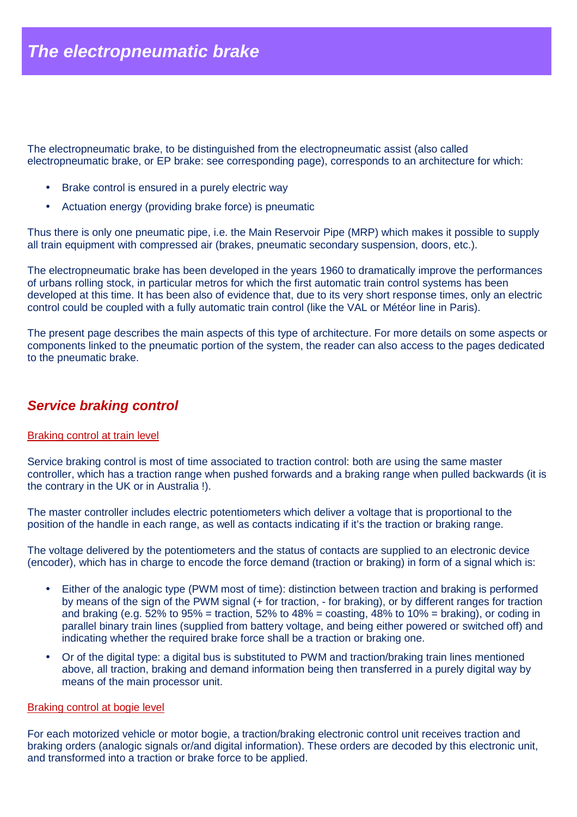The electropneumatic brake, to be distinguished from the electropneumatic assist (also called electropneumatic brake, or EP brake: see corresponding page), corresponds to an architecture for which:

- Brake control is ensured in a purely electric way
- Actuation energy (providing brake force) is pneumatic

Thus there is only one pneumatic pipe, i.e. the Main Reservoir Pipe (MRP) which makes it possible to supply all train equipment with compressed air (brakes, pneumatic secondary suspension, doors, etc.).

The electropneumatic brake has been developed in the years 1960 to dramatically improve the performances of urbans rolling stock, in particular metros for which the first automatic train control systems has been developed at this time. It has been also of evidence that, due to its very short response times, only an electric control could be coupled with a fully automatic train control (like the VAL or Météor line in Paris).

The present page describes the main aspects of this type of architecture. For more details on some aspects or components linked to the pneumatic portion of the system, the reader can also access to the pages dedicated to the pneumatic brake.

## **Service braking control**

## Braking control at train level

Service braking control is most of time associated to traction control: both are using the same master controller, which has a traction range when pushed forwards and a braking range when pulled backwards (it is the contrary in the UK or in Australia !).

The master controller includes electric potentiometers which deliver a voltage that is proportional to the position of the handle in each range, as well as contacts indicating if it's the traction or braking range.

The voltage delivered by the potentiometers and the status of contacts are supplied to an electronic device (encoder), which has in charge to encode the force demand (traction or braking) in form of a signal which is:

- Either of the analogic type (PWM most of time): distinction between traction and braking is performed by means of the sign of the PWM signal (+ for traction, - for braking), or by different ranges for traction and braking (e.g.  $52\%$  to  $95\%$  = traction,  $52\%$  to  $48\%$  = coasting,  $48\%$  to  $10\%$  = braking), or coding in parallel binary train lines (supplied from battery voltage, and being either powered or switched off) and indicating whether the required brake force shall be a traction or braking one.
- Or of the digital type: a digital bus is substituted to PWM and traction/braking train lines mentioned above, all traction, braking and demand information being then transferred in a purely digital way by means of the main processor unit.

## Braking control at bogie level

For each motorized vehicle or motor bogie, a traction/braking electronic control unit receives traction and braking orders (analogic signals or/and digital information). These orders are decoded by this electronic unit, and transformed into a traction or brake force to be applied.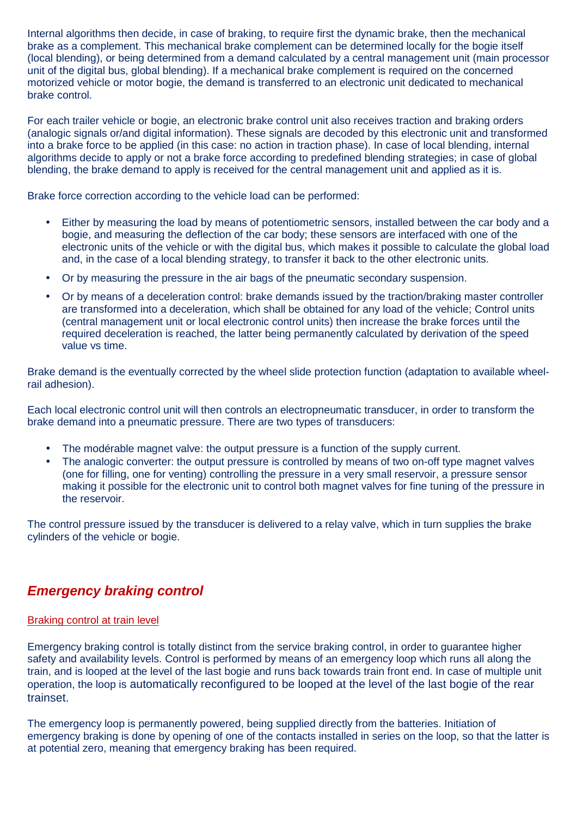Internal algorithms then decide, in case of braking, to require first the dynamic brake, then the mechanical brake as a complement. This mechanical brake complement can be determined locally for the bogie itself (local blending), or being determined from a demand calculated by a central management unit (main processor unit of the digital bus, global blending). If a mechanical brake complement is required on the concerned motorized vehicle or motor bogie, the demand is transferred to an electronic unit dedicated to mechanical brake control.

For each trailer vehicle or bogie, an electronic brake control unit also receives traction and braking orders (analogic signals or/and digital information). These signals are decoded by this electronic unit and transformed into a brake force to be applied (in this case: no action in traction phase). In case of local blending, internal algorithms decide to apply or not a brake force according to predefined blending strategies; in case of global blending, the brake demand to apply is received for the central management unit and applied as it is.

Brake force correction according to the vehicle load can be performed:

- Either by measuring the load by means of potentiometric sensors, installed between the car body and a bogie, and measuring the deflection of the car body; these sensors are interfaced with one of the electronic units of the vehicle or with the digital bus, which makes it possible to calculate the global load and, in the case of a local blending strategy, to transfer it back to the other electronic units.
- Or by measuring the pressure in the air bags of the pneumatic secondary suspension.
- Or by means of a deceleration control: brake demands issued by the traction/braking master controller are transformed into a deceleration, which shall be obtained for any load of the vehicle; Control units (central management unit or local electronic control units) then increase the brake forces until the required deceleration is reached, the latter being permanently calculated by derivation of the speed value vs time.

Brake demand is the eventually corrected by the wheel slide protection function (adaptation to available wheelrail adhesion).

Each local electronic control unit will then controls an electropneumatic transducer, in order to transform the brake demand into a pneumatic pressure. There are two types of transducers:

- The modérable magnet valve: the output pressure is a function of the supply current.
- The analogic converter: the output pressure is controlled by means of two on-off type magnet valves (one for filling, one for venting) controlling the pressure in a very small reservoir, a pressure sensor making it possible for the electronic unit to control both magnet valves for fine tuning of the pressure in the reservoir.

The control pressure issued by the transducer is delivered to a relay valve, which in turn supplies the brake cylinders of the vehicle or bogie.

# **Emergency braking control**

## Braking control at train level

Emergency braking control is totally distinct from the service braking control, in order to guarantee higher safety and availability levels. Control is performed by means of an emergency loop which runs all along the train, and is looped at the level of the last bogie and runs back towards train front end. In case of multiple unit operation, the loop is automatically reconfigured to be looped at the level of the last bogie of the rear trainset.

The emergency loop is permanently powered, being supplied directly from the batteries. Initiation of emergency braking is done by opening of one of the contacts installed in series on the loop, so that the latter is at potential zero, meaning that emergency braking has been required.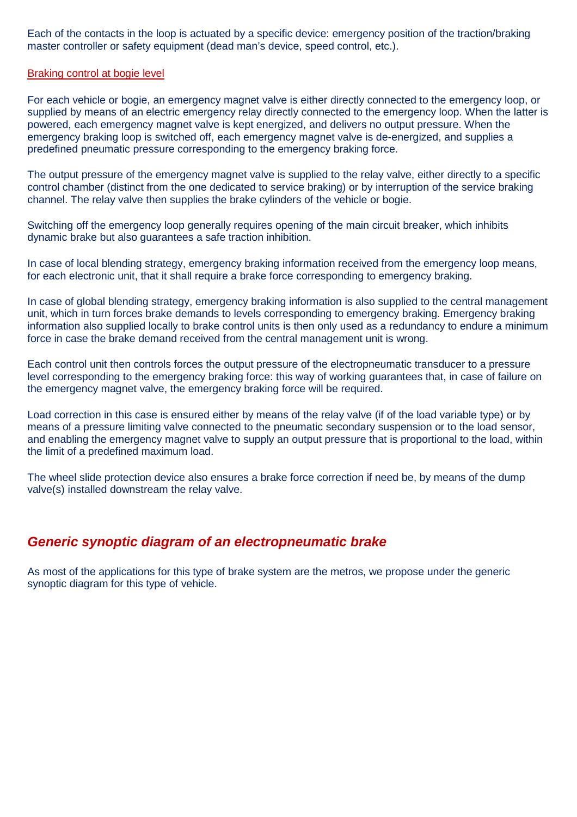Each of the contacts in the loop is actuated by a specific device: emergency position of the traction/braking master controller or safety equipment (dead man's device, speed control, etc.).

## Braking control at bogie level

For each vehicle or bogie, an emergency magnet valve is either directly connected to the emergency loop, or supplied by means of an electric emergency relay directly connected to the emergency loop. When the latter is powered, each emergency magnet valve is kept energized, and delivers no output pressure. When the emergency braking loop is switched off, each emergency magnet valve is de-energized, and supplies a predefined pneumatic pressure corresponding to the emergency braking force.

The output pressure of the emergency magnet valve is supplied to the relay valve, either directly to a specific control chamber (distinct from the one dedicated to service braking) or by interruption of the service braking channel. The relay valve then supplies the brake cylinders of the vehicle or bogie.

Switching off the emergency loop generally requires opening of the main circuit breaker, which inhibits dynamic brake but also guarantees a safe traction inhibition.

In case of local blending strategy, emergency braking information received from the emergency loop means, for each electronic unit, that it shall require a brake force corresponding to emergency braking.

In case of global blending strategy, emergency braking information is also supplied to the central management unit, which in turn forces brake demands to levels corresponding to emergency braking. Emergency braking information also supplied locally to brake control units is then only used as a redundancy to endure a minimum force in case the brake demand received from the central management unit is wrong.

Each control unit then controls forces the output pressure of the electropneumatic transducer to a pressure level corresponding to the emergency braking force: this way of working guarantees that, in case of failure on the emergency magnet valve, the emergency braking force will be required.

Load correction in this case is ensured either by means of the relay valve (if of the load variable type) or by means of a pressure limiting valve connected to the pneumatic secondary suspension or to the load sensor, and enabling the emergency magnet valve to supply an output pressure that is proportional to the load, within the limit of a predefined maximum load.

The wheel slide protection device also ensures a brake force correction if need be, by means of the dump valve(s) installed downstream the relay valve.

# **Generic synoptic diagram of an electropneumatic brake**

As most of the applications for this type of brake system are the metros, we propose under the generic synoptic diagram for this type of vehicle.